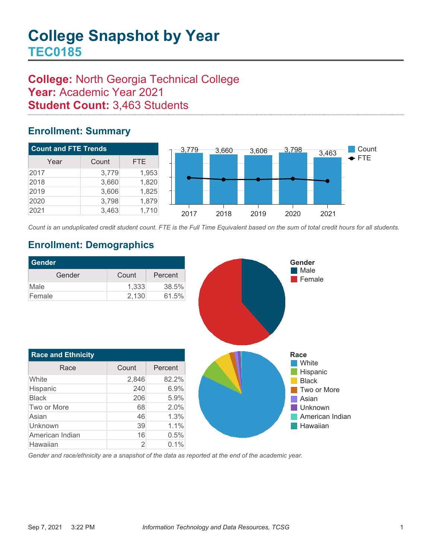# **College:** North Georgia Technical College **Year:** Academic Year 2021 **Student Count:** 3,463 Students

### **Enrollment: Summary**



*Count is an unduplicated credit student count. FTE is the Full Time Equivalent based on the sum of total credit hours for all students.*

## **Enrollment: Demographics**

Hawaiian 2 0.1%

| <b>Gender</b>             |       |         |
|---------------------------|-------|---------|
| Gender                    | Count | Percent |
| Male                      | 1,333 | 38.5%   |
| Female                    | 2,130 | 61.5%   |
|                           |       |         |
| <b>Race and Ethnicity</b> |       |         |
| Race                      | Count | Percent |
| White                     | 2,846 | 82.2%   |
| Hispanic                  | 240   | 6.9%    |
| Black                     | 206   | 5.9%    |
| Two or More               | 68    | 2.0%    |
| Asian                     | 46    | 1.3%    |
| Unknown                   | 39    | 1.1%    |
| American Indian           | 16    | 0.5%    |

*Gender and race/ethnicity are a snapshot of the data as reported at the end of the academic year.*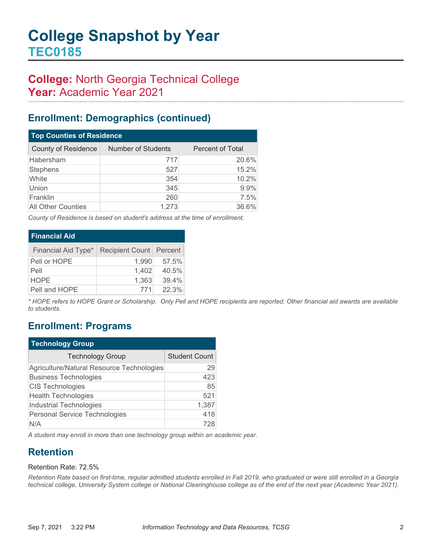# **College:** North Georgia Technical College **Year:** Academic Year 2021

### **Enrollment: Demographics (continued)**

| <b>Top Counties of Residence</b> |                           |                  |  |  |
|----------------------------------|---------------------------|------------------|--|--|
| <b>County of Residence</b>       | <b>Number of Students</b> | Percent of Total |  |  |
| Habersham                        | 717                       | 20.6%            |  |  |
| Stephens                         | 527                       | 15.2%            |  |  |
| White                            | 354                       | 10.2%            |  |  |
| Union                            | 345                       | 9.9%             |  |  |
| Franklin                         | 260                       | 7.5%             |  |  |
| <b>All Other Counties</b>        | 1,273                     | 36.6%            |  |  |

*County of Residence is based on student's address at the time of enrollment.*

| <b>Financial Aid</b> |                           |       |
|----------------------|---------------------------|-------|
| Financial Aid Type*  | Recipient Count   Percent |       |
| Pell or HOPE         | 1.990                     | 57.5% |
| Pell                 | 1,402                     | 40.5% |
| <b>HOPE</b>          | 1,363                     | 39.4% |
| Pell and HOPE        | 771                       | 22.3% |

*\* HOPE refers to HOPE Grant or Scholarship. Only Pell and HOPE recipients are reported. Other financial aid awards are available to students.*

### **Enrollment: Programs**

| <b>Technology Group</b>                   |                      |  |  |
|-------------------------------------------|----------------------|--|--|
| <b>Technology Group</b>                   | <b>Student Count</b> |  |  |
| Agriculture/Natural Resource Technologies | 29                   |  |  |
| <b>Business Technologies</b>              | 423                  |  |  |
| <b>CIS Technologies</b>                   | 85                   |  |  |
| <b>Health Technologies</b>                | 521                  |  |  |
| <b>Industrial Technologies</b>            | 1,387                |  |  |
| Personal Service Technologies             | 418                  |  |  |
| N/A                                       | 728                  |  |  |

*A student may enroll in more than one technology group within an academic year.*

## **Retention**

#### Retention Rate: 72.5%

*Retention Rate based on first-time, regular admitted students enrolled in Fall 2019, who graduated or were still enrolled in a Georgia technical college, University System college or National Clearinghouse college as of the end of the next year (Academic Year 2021).*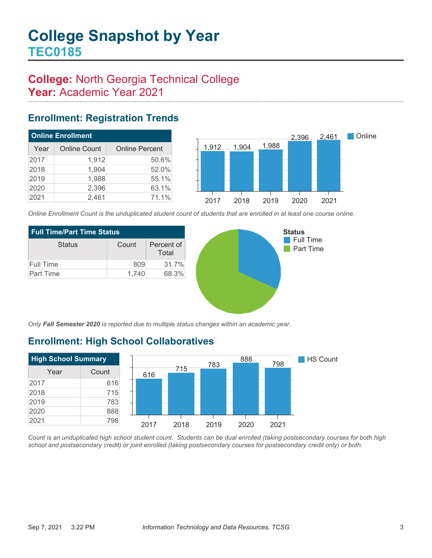# **College:** North Georgia Technical College **Year:** Academic Year 2021

### **Enrollment: Registration Trends**

| <b>Online Enrollment</b> |                     |                       |  |  |
|--------------------------|---------------------|-----------------------|--|--|
| Year                     | <b>Online Count</b> | <b>Online Percent</b> |  |  |
| 2017                     | 1,912               | 50.6%                 |  |  |
| 2018                     | 1,904               | 52.0%                 |  |  |
| 2019                     | 1,988               | 55.1%                 |  |  |
| 2020                     | 2,396               | 63.1%                 |  |  |
| 2021                     | 2,461               | 71.1%                 |  |  |



*Online Enrollment Count is the unduplicated student count of students that are enrolled in at least one course online.*

| <b>Full Time/Part Time Status</b> |       |                     |  |  |
|-----------------------------------|-------|---------------------|--|--|
| <b>Status</b>                     | Count | Percent of<br>Total |  |  |
| Full Time                         | 809   | 31.7%               |  |  |
| Part Time                         | 1.740 | 68.3%               |  |  |



*Only Fall Semester 2020 is reported due to multiple status changes within an academic year.*

# **Enrollment: High School Collaboratives**



*Count is an unduplicated high school student count. Students can be dual enrolled (taking postsecondary courses for both high school and postsecondary credit) or joint enrolled (taking postsecondary courses for postsecondary credit only) or both.*